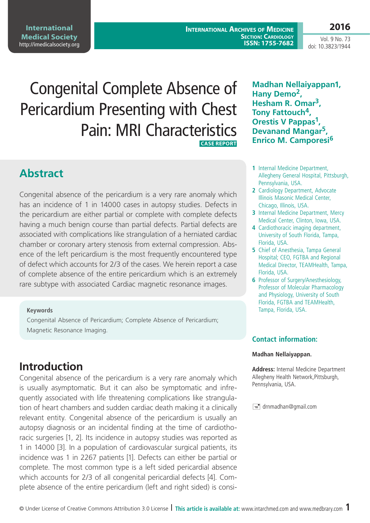**International Medical Society**  <http://imedicalsociety.org>

**International Archives of Medicine SECTION: CARDIOLOGY ISSN: 1755-7682**

**2016** Vol. 9 No. 73

doi: 10.3823/1944

# Congenital Complete Absence of Pericardium Presenting with Chest Pain: MRI Characteristics  **Case Report**

# **Abstract**

Congenital absence of the pericardium is a very rare anomaly which has an incidence of 1 in 14000 cases in autopsy studies. Defects in the pericardium are either partial or complete with complete defects having a much benign course than partial defects. Partial defects are associated with complications like strangulation of a herniated cardiac chamber or coronary artery stenosis from external compression. Absence of the left pericardium is the most frequently encountered type of defect which accounts for 2/3 of the cases. We herein report a case of complete absence of the entire pericardium which is an extremely rare subtype with associated Cardiac magnetic resonance images.

#### **Keywords**

Congenital Absence of Pericardium; Complete Absence of Pericardium; Magnetic Resonance Imaging.

# **Introduction**

Congenital absence of the pericardium is a very rare anomaly which is usually asymptomatic. But it can also be symptomatic and infrequently associated with life threatening complications like strangulation of heart chambers and sudden cardiac death making it a clinically relevant entity. Congenital absence of the pericardium is usually an autopsy diagnosis or an incidental finding at the time of cardiothoracic surgeries [1, 2]. Its incidence in autopsy studies was reported as 1 in 14000 [3]. In a population of cardiovascular surgical patients, its incidence was 1 in 2267 patients [1]. Defects can either be partial or complete. The most common type is a left sided pericardial absence which accounts for 2/3 of all congenital pericardial defects [4]. Complete absence of the entire pericardium (left and right sided) is consi-

### **Madhan Nellaiyappan1, Hany Demo2, Hesham R. Omar3, Tony Fattouch4, Orestis V Pappas<sup>1</sup> Devanand Mangar5, Enrico M. Camporesi<sup>6</sup>**

- **1** Internal Medicine Department, Allegheny General Hospital, Pittsburgh, Pennsylvania, USA.
- **2** Cardiology Department, Advocate Illinois Masonic Medical Center, Chicago, Illinois, USA.
- **3** Internal Medicine Department, Mercy Medical Center, Clinton, Iowa, USA.
- **4** Cardiothoracic imaging department, University of South Florida, Tampa, Florida, USA.
- **5** Chief of Anesthesia, Tampa General Hospital; CEO, FGTBA and Regional Medical Director, TEAMHealth, Tampa, Florida, USA.
- **6** Professor of Surgery/Anesthesiology, Professor of Molecular Pharmacology and Physiology, University of South Florida, FGTBA and TEAMHealth, Tampa, Florida, USA.

#### **Contact information:**

#### **Madhan Nellaiyappan.**

**Address:** Internal Medicine Department Allegheny Health Network,Pittsburgh, Pennsylvania, USA.

 $\equiv$  drnmadhan@gmail.com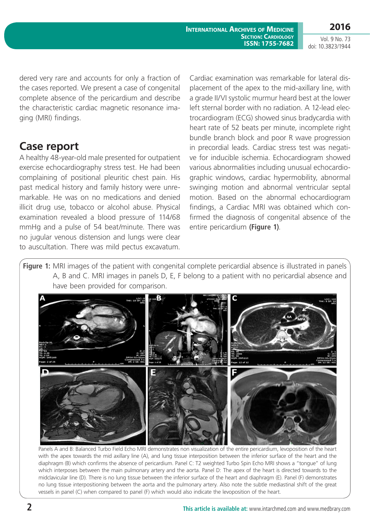Vol. 9 No. 73 doi: 10.3823/1944

dered very rare and accounts for only a fraction of the cases reported. We present a case of congenital complete absence of the pericardium and describe the characteristic cardiac magnetic resonance imaging (MRI) findings.

## **Case report**

A healthy 48-year-old male presented for outpatient exercise echocardiography stress test. He had been complaining of positional pleuritic chest pain. His past medical history and family history were unremarkable. He was on no medications and denied illicit drug use, tobacco or alcohol abuse. Physical examination revealed a blood pressure of 114/68 mmHg and a pulse of 54 beat/minute. There was no jugular venous distension and lungs were clear to auscultation. There was mild pectus excavatum.

Cardiac examination was remarkable for lateral displacement of the apex to the mid-axillary line, with a grade II/VI systolic murmur heard best at the lower left sternal border with no radiation. A 12-lead electrocardiogram (ECG) showed sinus bradycardia with heart rate of 52 beats per minute, incomplete right bundle branch block and poor R wave progression in precordial leads. Cardiac stress test was negative for inducible ischemia. Echocardiogram showed various abnormalities including unusual echocardiographic windows, cardiac hypermobility, abnormal swinging motion and abnormal ventricular septal motion. Based on the abnormal echocardiogram findings, a Cardiac MRI was obtained which confirmed the diagnosis of congenital absence of the entire pericardium **(figure 1)**.

**Figure 1:** MRI images of the patient with congenital complete pericardial absence is illustrated in panels A, B and C. MRI images in panels D, E, F belong to a patient with no pericardial absence and have been provided for comparison.



Panels A and B: Balanced Turbo Field Echo MRI demonstrates non visualization of the entire pericardium, levoposition of the heart with the apex towards the mid axillary line (A), and lung tissue interposition between the inferior surface of the heart and the diaphragm (B) which confirms the absence of pericardium. Panel C: T2 weighted Turbo Spin Echo MRI shows a "tongue" of lung which interposes between the main pulmonary artery and the aorta. Panel D: The apex of the heart is directed towards to the midclavicular line (D). There is no lung tissue between the inferior surface of the heart and diaphragm (E). Panel (F) demonstrates no lung tissue interpositioning between the aorta and the pulmonary artery. Also note the subtle mediastinal shift of the great vessels in panel (C) when compared to panel (F) which would also indicate the levoposition of the heart.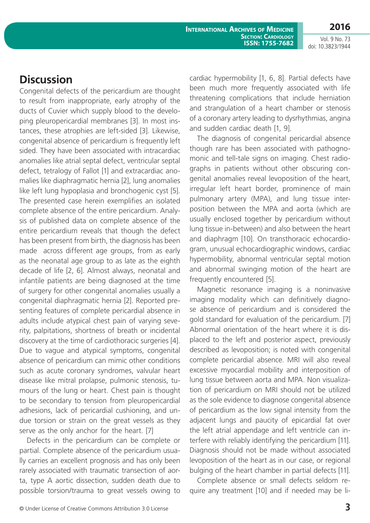**International Archives of Medicine SECTION: CARDIOLOGY ISSN: 1755-7682** **2016**

Vol. 9 No. 73 doi: 10.3823/1944

### **Discussion**

Congenital defects of the pericardium are thought to result from inappropriate, early atrophy of the ducts of Cuvier which supply blood to the developing pleuropericardial membranes [3]. In most instances, these atrophies are left-sided [3]. Likewise, congenital absence of pericardium is frequently left sided. They have been associated with intracardiac anomalies like atrial septal defect, ventricular septal defect, tetralogy of Fallot [1] and extracardiac anomalies like diaphragmatic hernia [2], lung anomalies like left lung hypoplasia and bronchogenic cyst [5]. The presented case herein exemplifies an isolated complete absence of the entire pericardium. Analysis of published data on complete absence of the entire pericardium reveals that though the defect has been present from birth, the diagnosis has been made across different age groups, from as early as the neonatal age group to as late as the eighth decade of life [2, 6]. Almost always, neonatal and infantile patients are being diagnosed at the time of surgery for other congenital anomalies usually a congenital diaphragmatic hernia [2]. Reported presenting features of complete pericardial absence in adults include atypical chest pain of varying severity, palpitations, shortness of breath or incidental discovery at the time of cardiothoracic surgeries [4]. Due to vague and atypical symptoms, congenital absence of pericardium can mimic other conditions such as acute coronary syndromes, valvular heart disease like mitral prolapse, pulmonic stenosis, tumours of the lung or heart. Chest pain is thought to be secondary to tension from pleuropericardial adhesions, lack of pericardial cushioning, and undue torsion or strain on the great vessels as they serve as the only anchor for the heart. [7]

Defects in the pericardium can be complete or partial. Complete absence of the pericardium usually carries an excellent prognosis and has only been rarely associated with traumatic transection of aorta, type A aortic dissection, sudden death due to possible torsion/trauma to great vessels owing to cardiac hypermobility [1, 6, 8]. Partial defects have been much more frequently associated with life threatening complications that include herniation and strangulation of a heart chamber or stenosis of a coronary artery leading to dysrhythmias, angina and sudden cardiac death [1, 9].

The diagnosis of congenital pericardial absence though rare has been associated with pathognomonic and tell-tale signs on imaging. Chest radiographs in patients without other obscuring congenital anomalies reveal levoposition of the heart, irregular left heart border, prominence of main pulmonary artery (MPA), and lung tissue interposition between the MPA and aorta (which are usually enclosed together by pericardium without lung tissue in-between) and also between the heart and diaphragm [10]. On transthoracic echocardiogram, unusual echocardiographic windows, cardiac hypermobility, abnormal ventricular septal motion and abnormal swinging motion of the heart are frequently encountered [5].

Magnetic resonance imaging is a noninvasive imaging modality which can definitively diagnose absence of pericardium and is considered the gold standard for evaluation of the pericardium. [7] Abnormal orientation of the heart where it is displaced to the left and posterior aspect, previously described as levoposition; is noted with congenital complete pericardial absence. MRI will also reveal excessive myocardial mobility and interposition of lung tissue between aorta and MPA. Non visualization of pericardium on MRI should not be utilized as the sole evidence to diagnose congenital absence of pericardium as the low signal intensity from the adjacent lungs and paucity of epicardial fat over the left atrial appendage and left ventricle can interfere with reliably identifying the pericardium [11]. Diagnosis should not be made without associated levoposition of the heart as in our case, or regional bulging of the heart chamber in partial defects [11].

Complete absence or small defects seldom require any treatment [10] and if needed may be li-